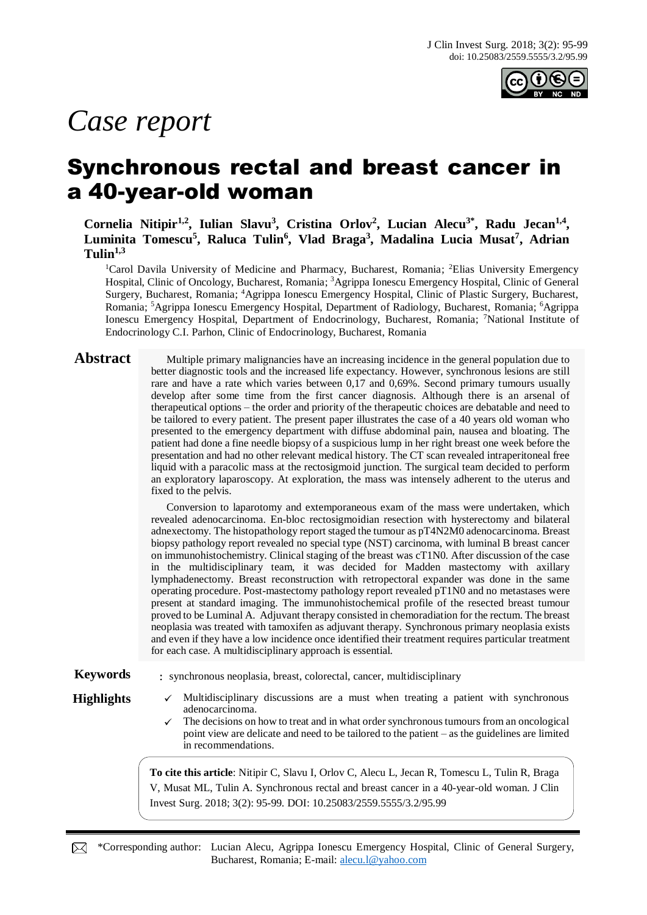

# *Case report*

## Synchronous rectal and breast cancer in a 40-year-old woman

**Cornelia Nitipir1,2, Iulian Slavu<sup>3</sup> , Cristina Orlov<sup>2</sup> , Lucian Alecu3\*, Radu Jecan1,4 , Luminita Tomescu<sup>5</sup> , Raluca Tulin<sup>6</sup> , Vlad Braga<sup>3</sup> , Madalina Lucia Musat<sup>7</sup> , Adrian Tulin1,3**

<sup>1</sup>Carol Davila University of Medicine and Pharmacy, Bucharest, Romania; <sup>2</sup>Elias University Emergency Hospital, Clinic of Oncology, Bucharest, Romania; <sup>3</sup>Agrippa Ionescu Emergency Hospital, Clinic of General Surgery, Bucharest, Romania; <sup>4</sup>Agrippa Ionescu Emergency Hospital, Clinic of Plastic Surgery, Bucharest, Romania; <sup>5</sup>Agrippa Ionescu Emergency Hospital, Department of Radiology, Bucharest, Romania; <sup>6</sup>Agrippa Ionescu Emergency Hospital, Department of Endocrinology, Bucharest, Romania; <sup>7</sup>National Institute of Endocrinology C.I. Parhon, Clinic of Endocrinology, Bucharest, Romania

**Abstract** Multiple primary malignancies have an increasing incidence in the general population due to better diagnostic tools and the increased life expectancy. However, synchronous lesions are still rare and have a rate which varies between 0,17 and 0,69%. Second primary tumours usually develop after some time from the first cancer diagnosis. Although there is an arsenal of therapeutical options – the order and priority of the therapeutic choices are debatable and need to be tailored to every patient. The present paper illustrates the case of a 40 years old woman who presented to the emergency department with diffuse abdominal pain, nausea and bloating. The patient had done a fine needle biopsy of a suspicious lump in her right breast one week before the presentation and had no other relevant medical history. The CT scan revealed intraperitoneal free liquid with a paracolic mass at the rectosigmoid junction. The surgical team decided to perform an exploratory laparoscopy. At exploration, the mass was intensely adherent to the uterus and fixed to the pelvis.

> Conversion to laparotomy and extemporaneous exam of the mass were undertaken, which revealed adenocarcinoma. En-bloc rectosigmoidian resection with hysterectomy and bilateral adnexectomy. The histopathology report staged the tumour as pT4N2M0 adenocarcinoma. Breast biopsy pathology report revealed no special type (NST) carcinoma, with luminal B breast cancer on immunohistochemistry. Clinical staging of the breast was cT1N0. After discussion of the case in the multidisciplinary team, it was decided for Madden mastectomy with axillary lymphadenectomy. Breast reconstruction with retropectoral expander was done in the same operating procedure. Post-mastectomy pathology report revealed pT1N0 and no metastases were present at standard imaging. The immunohistochemical profile of the resected breast tumour proved to be Luminal A. Adjuvant therapy consisted in chemoradiation for the rectum. The breast neoplasia was treated with tamoxifen as adjuvant therapy. Synchronous primary neoplasia exists and even if they have a low incidence once identified their treatment requires particular treatment for each case. A multidisciplinary approach is essential.

### **Keywords** : synchronous neoplasia, breast, colorectal, cancer, multidisciplinary

- **Highlights** ✓ Multidisciplinary discussions are a must when treating a patient with synchronous
	- adenocarcinoma. The decisions on how to treat and in what order synchronous tumours from an oncological point view are delicate and need to be tailored to the patient – as the guidelines are limited in recommendations.

**To cite this article**: Nitipir C, Slavu I, Orlov C, Alecu L, Jecan R, Tomescu L, Tulin R, Braga V, Musat ML, Tulin A. Synchronous rectal and breast cancer in a 40-year-old woman. J Clin Invest Surg. 2018; 3(2): 95-99. DOI: 10.25083/2559.5555/3.2/95.99

\*Corresponding author: Lucian Alecu, Agrippa Ionescu Emergency Hospital, Clinic of General Surgery, Bucharest, Romania; E-mail: [alecu.l@yahoo.com](mailto:alecu.l@yahoo.com)

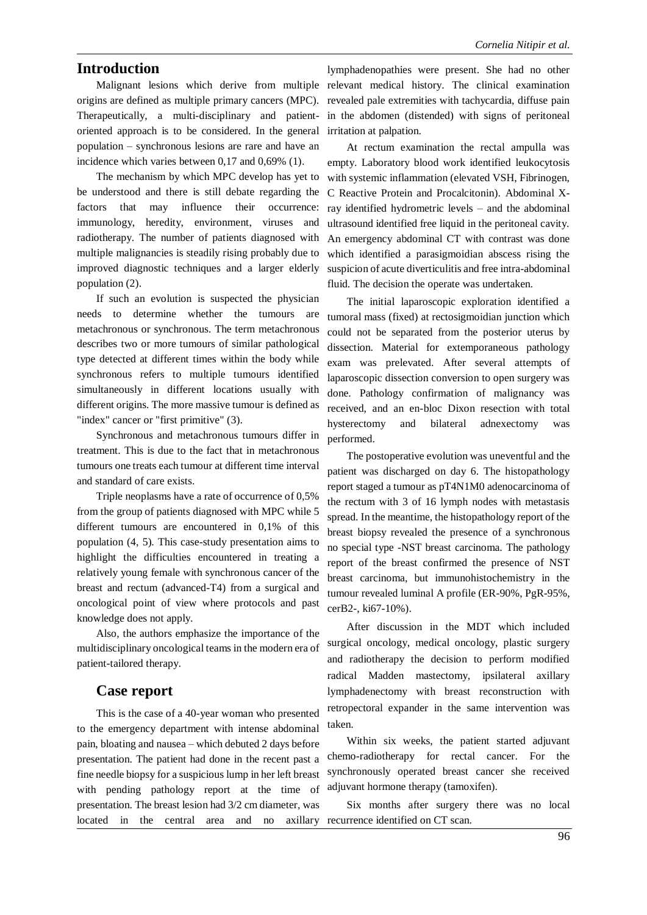#### **Introduction**

origins are defined as multiple primary cancers (MPC). Therapeutically, a multi-disciplinary and patientoriented approach is to be considered. In the general population – synchronous lesions are rare and have an incidence which varies between 0,17 and 0,69% (1).

The mechanism by which MPC develop has yet to be understood and there is still debate regarding the factors that may influence their occurrence: immunology, heredity, environment, viruses and radiotherapy. The number of patients diagnosed with multiple malignancies is steadily rising probably due to improved diagnostic techniques and a larger elderly population (2).

If such an evolution is suspected the physician needs to determine whether the tumours are metachronous or synchronous. The term metachronous describes two or more tumours of similar pathological type detected at different times within the body while synchronous refers to multiple tumours identified simultaneously in different locations usually with different origins. The more massive tumour is defined as "index" cancer or "first primitive" (3).

Synchronous and metachronous tumours differ in treatment. This is due to the fact that in metachronous tumours one treats each tumour at different time interval and standard of care exists.

Triple neoplasms have a rate of occurrence of 0,5% from the group of patients diagnosed with MPC while 5 different tumours are encountered in 0,1% of this population (4, 5). This case-study presentation aims to highlight the difficulties encountered in treating a relatively young female with synchronous cancer of the breast and rectum (advanced-T4) from a surgical and oncological point of view where protocols and past knowledge does not apply.

Also, the authors emphasize the importance of the multidisciplinary oncological teams in the modern era of patient-tailored therapy.

#### **Case report**

This is the case of a 40-year woman who presented to the emergency department with intense abdominal pain, bloating and nausea – which debuted 2 days before presentation. The patient had done in the recent past a fine needle biopsy for a suspicious lump in her left breast with pending pathology report at the time of presentation. The breast lesion had 3/2 cm diameter, was located in the central area and no axillary recurrence identified on CT scan.

Malignant lesions which derive from multiple relevant medical history. The clinical examination lymphadenopathies were present. She had no other revealed pale extremities with tachycardia, diffuse pain in the abdomen (distended) with signs of peritoneal irritation at palpation.

> At rectum examination the rectal ampulla was empty. Laboratory blood work identified leukocytosis with systemic inflammation (elevated VSH, Fibrinogen, C Reactive Protein and Procalcitonin). Abdominal Xray identified hydrometric levels – and the abdominal ultrasound identified free liquid in the peritoneal cavity. An emergency abdominal CT with contrast was done which identified a parasigmoidian abscess rising the suspicion of acute diverticulitis and free intra-abdominal fluid. The decision the operate was undertaken.

> The initial laparoscopic exploration identified a tumoral mass (fixed) at rectosigmoidian junction which could not be separated from the posterior uterus by dissection. Material for extemporaneous pathology exam was prelevated. After several attempts of laparoscopic dissection conversion to open surgery was done. Pathology confirmation of malignancy was received, and an en-bloc Dixon resection with total hysterectomy and bilateral adnexectomy was performed.

> The postoperative evolution was uneventful and the patient was discharged on day 6. The histopathology report staged a tumour as pT4N1M0 adenocarcinoma of the rectum with 3 of 16 lymph nodes with metastasis spread. In the meantime, the histopathology report of the breast biopsy revealed the presence of a synchronous no special type -NST breast carcinoma. The pathology report of the breast confirmed the presence of NST breast carcinoma, but immunohistochemistry in the tumour revealed luminal A profile (ER-90%, PgR-95%, cerB2-, ki67-10%).

> After discussion in the MDT which included surgical oncology, medical oncology, plastic surgery and radiotherapy the decision to perform modified radical Madden mastectomy, ipsilateral axillary lymphadenectomy with breast reconstruction with retropectoral expander in the same intervention was taken.

> Within six weeks, the patient started adjuvant chemo-radiotherapy for rectal cancer. For the synchronously operated breast cancer she received adjuvant hormone therapy (tamoxifen).

> Six months after surgery there was no local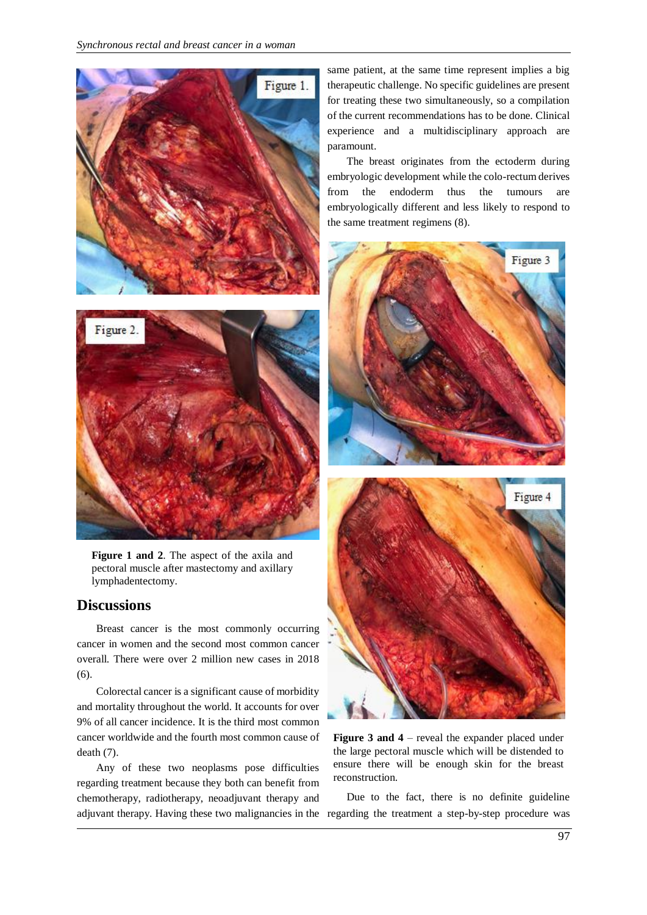



**Figure 1 and 2**. The aspect of the axila and pectoral muscle after mastectomy and axillary lymphadentectomy.

#### **Discussions**

Breast cancer is the most commonly occurring cancer in women and the second most common cancer overall. There were over 2 million new cases in 2018 (6).

Colorectal cancer is a significant cause of morbidity and mortality throughout the world. It accounts for over 9% of all cancer incidence. It is the third most common cancer worldwide and the fourth most common cause of death (7).

Any of these two neoplasms pose difficulties regarding treatment because they both can benefit from chemotherapy, radiotherapy, neoadjuvant therapy and adjuvant therapy. Having these two malignancies in the regarding the treatment a step-by-step procedure was

same patient, at the same time represent implies a big therapeutic challenge. No specific guidelines are present for treating these two simultaneously, so a compilation of the current recommendations has to be done. Clinical experience and a multidisciplinary approach are paramount.

The breast originates from the ectoderm during embryologic development while the colo-rectum derives from the endoderm thus the tumours are embryologically different and less likely to respond to the same treatment regimens (8).



**Figure 3 and 4** – reveal the expander placed under the large pectoral muscle which will be distended to ensure there will be enough skin for the breast reconstruction.

Due to the fact, there is no definite guideline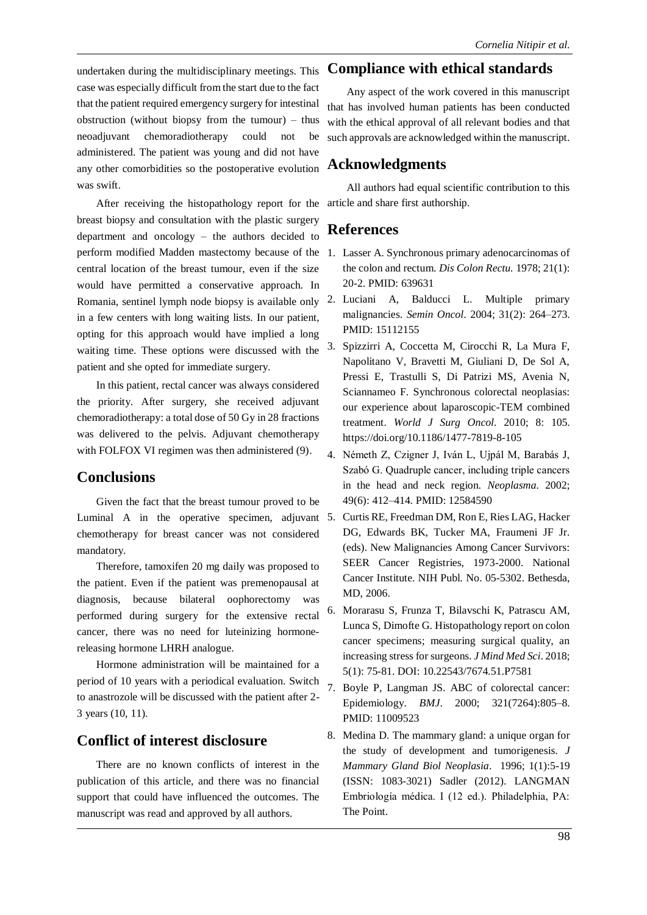undertaken during the multidisciplinary meetings. This case was especially difficult from the start due to the fact that the patient required emergency surgery for intestinal obstruction (without biopsy from the tumour) – thus neoadjuvant chemoradiotherapy could not be administered. The patient was young and did not have any other comorbidities so the postoperative evolution was swift.

After receiving the histopathology report for the article and share first authorship. breast biopsy and consultation with the plastic surgery department and oncology – the authors decided to perform modified Madden mastectomy because of the central location of the breast tumour, even if the size would have permitted a conservative approach. In Romania, sentinel lymph node biopsy is available only in a few centers with long waiting lists. In our patient, opting for this approach would have implied a long waiting time. These options were discussed with the patient and she opted for immediate surgery.

In this patient, rectal cancer was always considered the priority. After surgery, she received adjuvant chemoradiotherapy: a total dose of 50 Gy in 28 fractions was delivered to the pelvis. Adjuvant chemotherapy with FOLFOX VI regimen was then administered (9).

#### **Conclusions**

Given the fact that the breast tumour proved to be Luminal A in the operative specimen, adjuvant 5. Curtis RE, Freedman DM, Ron E, Ries LAG, Hacker chemotherapy for breast cancer was not considered mandatory.

Therefore, tamoxifen 20 mg daily was proposed to the patient. Even if the patient was premenopausal at diagnosis, because bilateral oophorectomy was performed during surgery for the extensive rectal cancer, there was no need for luteinizing hormonereleasing hormone LHRH analogue.

Hormone administration will be maintained for a period of 10 years with a periodical evaluation. Switch to anastrozole will be discussed with the patient after 2- 3 years (10, 11).

### **Conflict of interest disclosure**

There are no known conflicts of interest in the publication of this article, and there was no financial support that could have influenced the outcomes. The manuscript was read and approved by all authors.

#### **Compliance with ethical standards**

Any aspect of the work covered in this manuscript that has involved human patients has been conducted with the ethical approval of all relevant bodies and that such approvals are acknowledged within the manuscript.

#### **Acknowledgments**

All authors had equal scientific contribution to this

#### **References**

- 1. Lasser A. Synchronous primary adenocarcinomas of the colon and rectum. *Dis Colon Rectu.* 1978; 21(1): 20-2. PMID: 639631
- 2. Luciani A, Balducci L. Multiple primary malignancies. *Semin Oncol*. 2004; 31(2): 264–273. PMID: 15112155
- 3. Spizzirri A, Coccetta M, Cirocchi R, La Mura F, Napolitano V, Bravetti M, Giuliani D, De Sol A, Pressi E, Trastulli S, Di Patrizi MS, Avenia N, Sciannameo F. Synchronous colorectal neoplasias: our experience about laparoscopic-TEM combined treatment. *World J Surg Oncol*. 2010; 8: 105. https://doi.org/10.1186/1477-7819-8-105
- 4. Németh Z, Czigner J, Iván L, Ujpál M, Barabás J, Szabó G. Quadruple cancer, including triple cancers in the head and neck region. *Neoplasma*. 2002; 49(6): 412–414. PMID: 12584590
- DG, Edwards BK, Tucker MA, Fraumeni JF Jr. (eds). New Malignancies Among Cancer Survivors: SEER Cancer Registries, 1973-2000. National Cancer Institute. NIH Publ. No. 05-5302. Bethesda, MD, 2006.
- 6. Morarasu S, Frunza T, Bilavschi K, Patrascu AM, Lunca S, Dimofte G. Histopathology report on colon cancer specimens; measuring surgical quality, an increasing stress for surgeons. *J Mind Med Sci*. 2018; 5(1): 75-81. DOI: 10.22543/7674.51.P7581
- 7. Boyle P, Langman JS. ABC of colorectal cancer: Epidemiology. *BMJ*. 2000; 321(7264):805–8. PMID: 11009523
- 8. Medina D. The mammary gland: a unique organ for the study of development and tumorigenesis. *J Mammary Gland Biol Neoplasia*. 1996; 1(1):5-19 (ISSN: 1083-3021) Sadler (2012). LANGMAN Embriología médica. I (12 ed.). Philadelphia, PA: The Point.